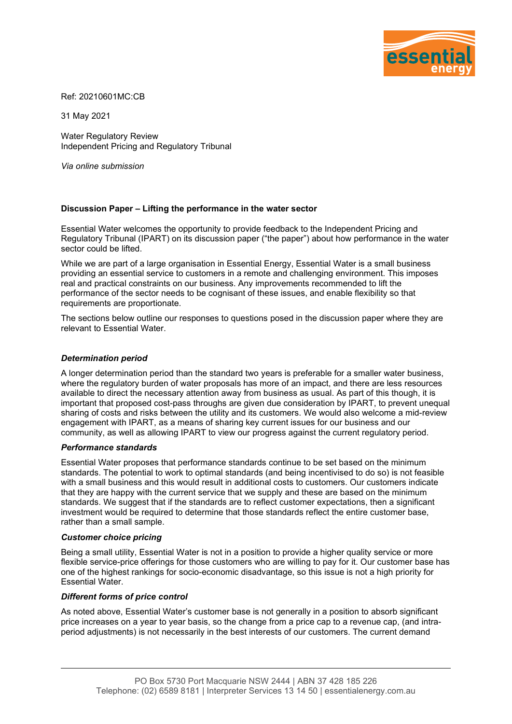

Ref: 20210601MC:CB

31 May 2021

Water Regulatory Review Independent Pricing and Regulatory Tribunal

*Via online submission*

# **Discussion Paper – Lifting the performance in the water sector**

Essential Water welcomes the opportunity to provide feedback to the Independent Pricing and Regulatory Tribunal (IPART) on its discussion paper ("the paper") about how performance in the water sector could be lifted.

While we are part of a large organisation in Essential Energy, Essential Water is a small business providing an essential service to customers in a remote and challenging environment. This imposes real and practical constraints on our business. Any improvements recommended to lift the performance of the sector needs to be cognisant of these issues, and enable flexibility so that requirements are proportionate.

The sections below outline our responses to questions posed in the discussion paper where they are relevant to Essential Water.

#### *Determination period*

A longer determination period than the standard two years is preferable for a smaller water business, where the regulatory burden of water proposals has more of an impact, and there are less resources available to direct the necessary attention away from business as usual. As part of this though, it is important that proposed cost-pass throughs are given due consideration by IPART, to prevent unequal sharing of costs and risks between the utility and its customers. We would also welcome a mid-review engagement with IPART, as a means of sharing key current issues for our business and our community, as well as allowing IPART to view our progress against the current regulatory period.

#### *Performance standards*

Essential Water proposes that performance standards continue to be set based on the minimum standards. The potential to work to optimal standards (and being incentivised to do so) is not feasible with a small business and this would result in additional costs to customers. Our customers indicate that they are happy with the current service that we supply and these are based on the minimum standards. We suggest that if the standards are to reflect customer expectations, then a significant investment would be required to determine that those standards reflect the entire customer base, rather than a small sample.

#### *Customer choice pricing*

Being a small utility, Essential Water is not in a position to provide a higher quality service or more flexible service-price offerings for those customers who are willing to pay for it. Our customer base has one of the highest rankings for socio-economic disadvantage, so this issue is not a high priority for Essential Water.

# *Different forms of price control*

As noted above, Essential Water's customer base is not generally in a position to absorb significant price increases on a year to year basis, so the change from a price cap to a revenue cap, (and intraperiod adjustments) is not necessarily in the best interests of our customers. The current demand